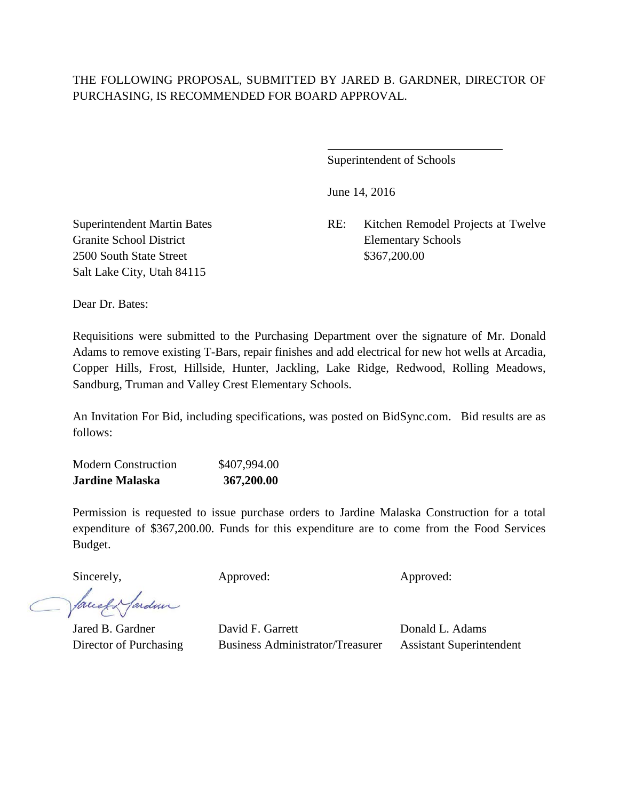$\overline{a}$ 

Superintendent of Schools

June 14, 2016

Superintendent Martin Bates RE: Kitchen Remodel Projects at Twelve

Granite School District Elementary Schools 2500 South State Street \$367,200.00 Salt Lake City, Utah 84115

Dear Dr. Bates:

Requisitions were submitted to the Purchasing Department over the signature of Mr. Donald Adams to remove existing T-Bars, repair finishes and add electrical for new hot wells at Arcadia, Copper Hills, Frost, Hillside, Hunter, Jackling, Lake Ridge, Redwood, Rolling Meadows, Sandburg, Truman and Valley Crest Elementary Schools.

An Invitation For Bid, including specifications, was posted on BidSync.com. Bid results are as follows:

| <b>Jardine Malaska</b>     | 367,200.00   |
|----------------------------|--------------|
| <b>Modern Construction</b> | \$407,994.00 |

Permission is requested to issue purchase orders to Jardine Malaska Construction for a total expenditure of \$367,200.00. Funds for this expenditure are to come from the Food Services Budget.

facely farden

Sincerely, Approved: Approved: Approved: Approved: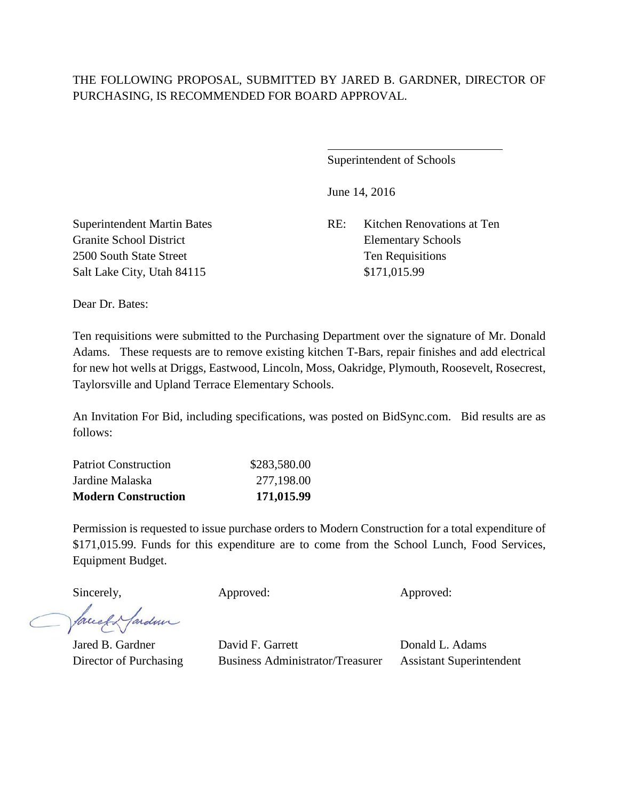$\overline{a}$ 

Superintendent of Schools

June 14, 2016

Superintendent Martin Bates RE: Kitchen Renovations at Ten

Granite School District Elementary Schools 2500 South State Street Ten Requisitions Salt Lake City, Utah 84115 \$171,015.99

Dear Dr. Bates:

Ten requisitions were submitted to the Purchasing Department over the signature of Mr. Donald Adams. These requests are to remove existing kitchen T-Bars, repair finishes and add electrical for new hot wells at Driggs, Eastwood, Lincoln, Moss, Oakridge, Plymouth, Roosevelt, Rosecrest, Taylorsville and Upland Terrace Elementary Schools.

An Invitation For Bid, including specifications, was posted on BidSync.com. Bid results are as follows:

| <b>Modern Construction</b>  | 171,015.99   |
|-----------------------------|--------------|
| Jardine Malaska             | 277,198.00   |
| <b>Patriot Construction</b> | \$283,580.00 |

Permission is requested to issue purchase orders to Modern Construction for a total expenditure of \$171,015.99. Funds for this expenditure are to come from the School Lunch, Food Services, Equipment Budget.

facely farden

Sincerely, Approved: Approved: Approved: Approved: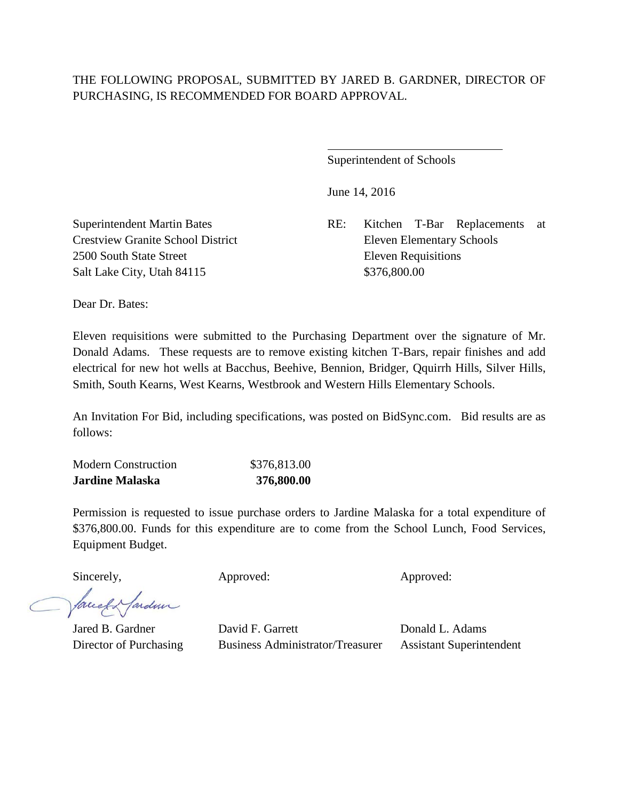$\overline{a}$ 

Superintendent of Schools

June 14, 2016

Superintendent Martin Bates RE: Kitchen T-Bar Replacements at Crestview Granite School District Eleven Elementary Schools

2500 South State Street Eleven Requisitions Salt Lake City, Utah 84115 \$376,800.00

Dear Dr. Bates:

Eleven requisitions were submitted to the Purchasing Department over the signature of Mr. Donald Adams. These requests are to remove existing kitchen T-Bars, repair finishes and add electrical for new hot wells at Bacchus, Beehive, Bennion, Bridger, Qquirrh Hills, Silver Hills, Smith, South Kearns, West Kearns, Westbrook and Western Hills Elementary Schools.

An Invitation For Bid, including specifications, was posted on BidSync.com. Bid results are as follows:

| <b>Jardine Malaska</b>     | 376,800.00   |
|----------------------------|--------------|
| <b>Modern Construction</b> | \$376,813.00 |

Permission is requested to issue purchase orders to Jardine Malaska for a total expenditure of \$376,800.00. Funds for this expenditure are to come from the School Lunch, Food Services, Equipment Budget.

facely farden

Sincerely, Approved: Approved: Approved: Approved: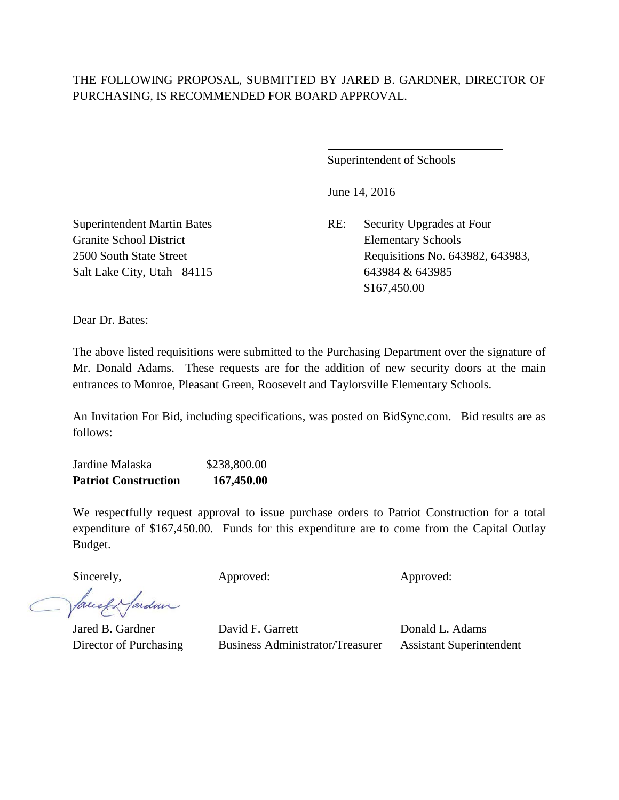$\overline{a}$ 

Superintendent of Schools

June 14, 2016

Superintendent Martin Bates RE: Security Upgrades at Four 2500 South State Street Requisitions No. 643982, 643983, Salt Lake City, Utah 84115 643984 & 643985 \$167,450.00

Granite School District Elementary Schools

Dear Dr. Bates:

The above listed requisitions were submitted to the Purchasing Department over the signature of Mr. Donald Adams. These requests are for the addition of new security doors at the main entrances to Monroe, Pleasant Green, Roosevelt and Taylorsville Elementary Schools.

An Invitation For Bid, including specifications, was posted on BidSync.com. Bid results are as follows:

Jardine Malaska \$238,800.00 **Patriot Construction 167,450.00**

We respectfully request approval to issue purchase orders to Patriot Construction for a total expenditure of \$167,450.00. Funds for this expenditure are to come from the Capital Outlay Budget.

Sincerely, Approved: Approved: Approved: Approved:

facely farden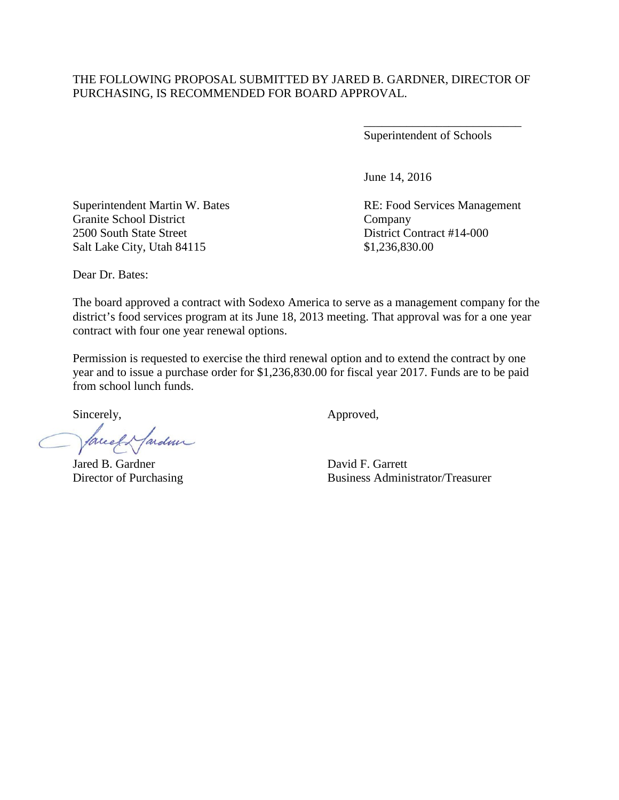Superintendent of Schools

\_\_\_\_\_\_\_\_\_\_\_\_\_\_\_\_\_\_\_\_\_\_\_\_\_\_

June 14, 2016

Superintendent Martin W. Bates RE: Food Services Management

Granite School District Company 2500 South State Street District Contract #14-000 Salt Lake City, Utah 84115 \$1,236,830.00

Dear Dr. Bates:

The board approved a contract with Sodexo America to serve as a management company for the district's food services program at its June 18, 2013 meeting. That approval was for a one year contract with four one year renewal options.

Permission is requested to exercise the third renewal option and to extend the contract by one year and to issue a purchase order for \$1,236,830.00 for fiscal year 2017. Funds are to be paid from school lunch funds.

facely fardeur

Jared B. Gardner David F. Garrett

Sincerely,  $\qquad \qquad \text{Approved},$ 

Director of Purchasing Business Administrator/Treasurer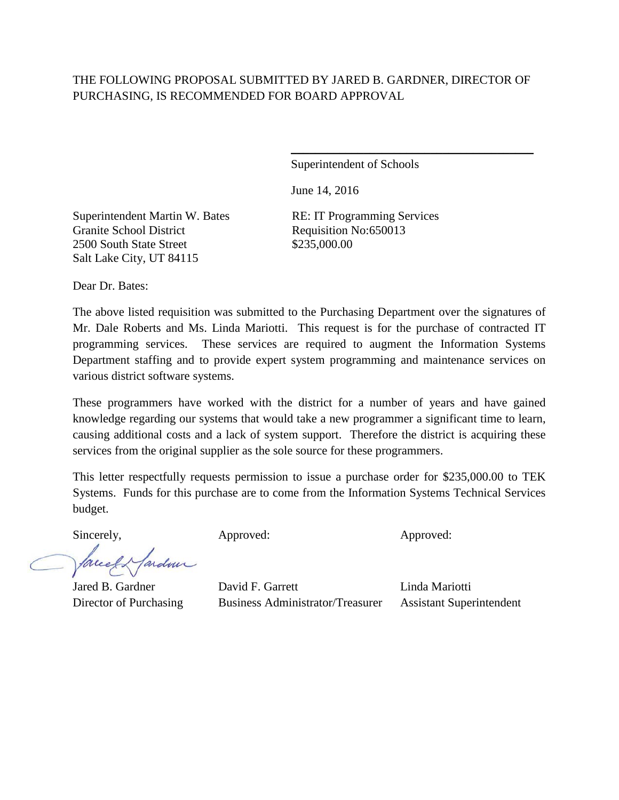Superintendent of Schools

\_\_\_\_\_\_\_\_\_\_\_\_\_\_\_\_\_\_\_\_\_\_\_\_\_\_\_\_\_\_\_\_\_\_\_\_\_\_\_\_

June 14, 2016

Superintendent Martin W. Bates Granite School District 2500 South State Street Salt Lake City, UT 84115

RE: IT Programming Services Requisition No:650013 \$235,000.00

Dear Dr. Bates:

The above listed requisition was submitted to the Purchasing Department over the signatures of Mr. Dale Roberts and Ms. Linda Mariotti. This request is for the purchase of contracted IT programming services. These services are required to augment the Information Systems Department staffing and to provide expert system programming and maintenance services on various district software systems.

These programmers have worked with the district for a number of years and have gained knowledge regarding our systems that would take a new programmer a significant time to learn, causing additional costs and a lack of system support. Therefore the district is acquiring these services from the original supplier as the sole source for these programmers.

This letter respectfully requests permission to issue a purchase order for \$235,000.00 to TEK Systems. Funds for this purchase are to come from the Information Systems Technical Services budget.

Jardin faced

Sincerely, Approved: Approved: Approved: Approved: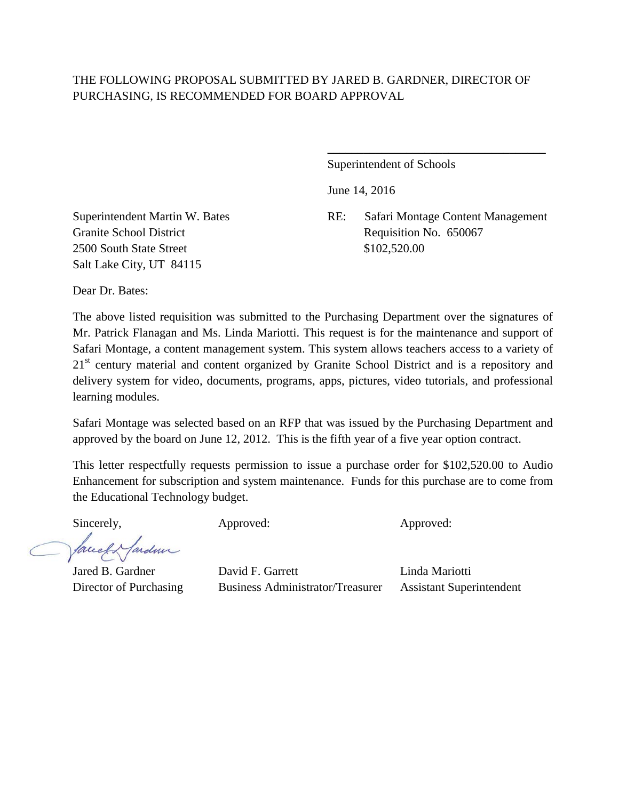Superintendent of Schools

June 14, 2016

Superintendent Martin W. Bates RE: Safari Montage Content Management Granite School District Requisition No. 650067

\_\_\_\_\_\_\_\_\_\_\_\_\_\_\_\_\_\_\_\_\_\_\_\_\_\_\_\_\_\_\_\_\_\_\_\_

2500 South State Street \$102,520.00 Salt Lake City, UT 84115

Dear Dr. Bates:

The above listed requisition was submitted to the Purchasing Department over the signatures of Mr. Patrick Flanagan and Ms. Linda Mariotti. This request is for the maintenance and support of Safari Montage, a content management system. This system allows teachers access to a variety of 21<sup>st</sup> century material and content organized by Granite School District and is a repository and delivery system for video, documents, programs, apps, pictures, video tutorials, and professional learning modules.

Safari Montage was selected based on an RFP that was issued by the Purchasing Department and approved by the board on June 12, 2012. This is the fifth year of a five year option contract.

This letter respectfully requests permission to issue a purchase order for \$102,520.00 to Audio Enhancement for subscription and system maintenance. Funds for this purchase are to come from the Educational Technology budget.

facely

Sincerely, Approved: Approved: Approved: Approved: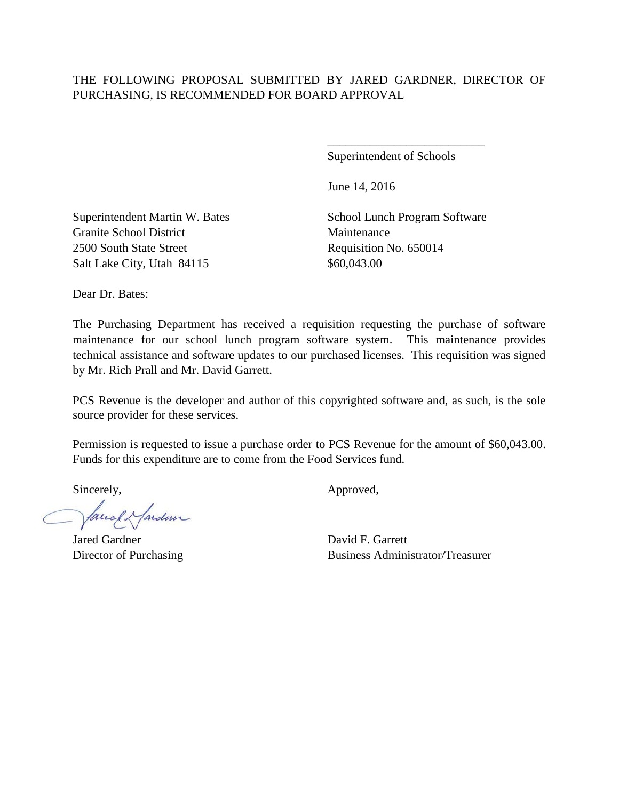Superintendent of Schools

\_\_\_\_\_\_\_\_\_\_\_\_\_\_\_\_\_\_\_\_\_\_\_\_\_\_

June 14, 2016

Superintendent Martin W. Bates School Lunch Program Software Granite School District Maintenance 2500 South State Street Requisition No. 650014 Salt Lake City, Utah 84115 \$60,043.00

Dear Dr. Bates:

The Purchasing Department has received a requisition requesting the purchase of software maintenance for our school lunch program software system. This maintenance provides technical assistance and software updates to our purchased licenses. This requisition was signed by Mr. Rich Prall and Mr. David Garrett.

PCS Revenue is the developer and author of this copyrighted software and, as such, is the sole source provider for these services.

Permission is requested to issue a purchase order to PCS Revenue for the amount of \$60,043.00. Funds for this expenditure are to come from the Food Services fund.

facely farden

Jared Gardner David F. Garrett

Sincerely,  $\qquad \qquad \text{Approved},$ 

Director of Purchasing Business Administrator/Treasurer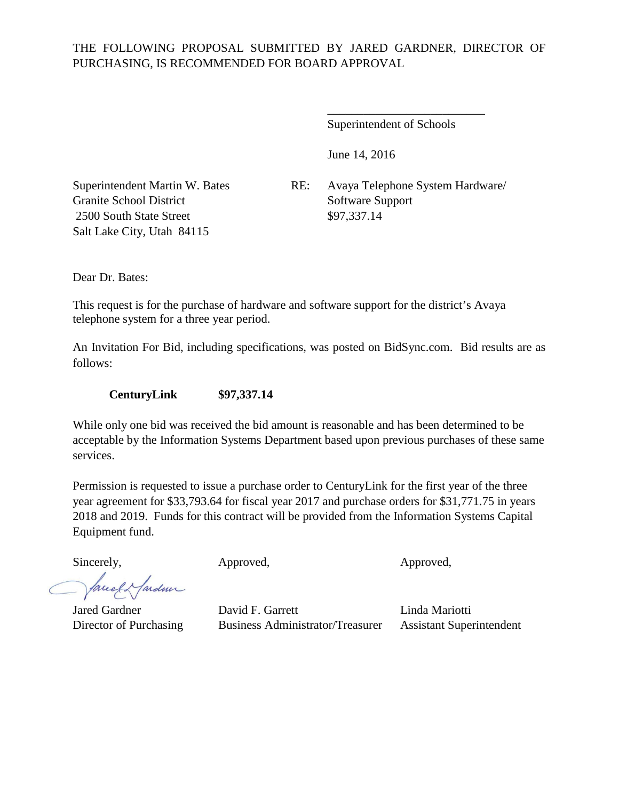Superintendent of Schools

\_\_\_\_\_\_\_\_\_\_\_\_\_\_\_\_\_\_\_\_\_\_\_\_\_\_

June 14, 2016

Granite School District Software Support 2500 South State Street \$97,337.14 Salt Lake City, Utah 84115

Superintendent Martin W. Bates RE: Avaya Telephone System Hardware/

Dear Dr. Bates:

This request is for the purchase of hardware and software support for the district's Avaya telephone system for a three year period.

An Invitation For Bid, including specifications, was posted on BidSync.com. Bid results are as follows:

**CenturyLink \$97,337.14**

While only one bid was received the bid amount is reasonable and has been determined to be acceptable by the Information Systems Department based upon previous purchases of these same services.

Permission is requested to issue a purchase order to CenturyLink for the first year of the three year agreement for \$33,793.64 for fiscal year 2017 and purchase orders for \$31,771.75 in years 2018 and 2019. Funds for this contract will be provided from the Information Systems Capital Equipment fund.

facel & fardeur

Sincerely, Approved, Approved, Approved,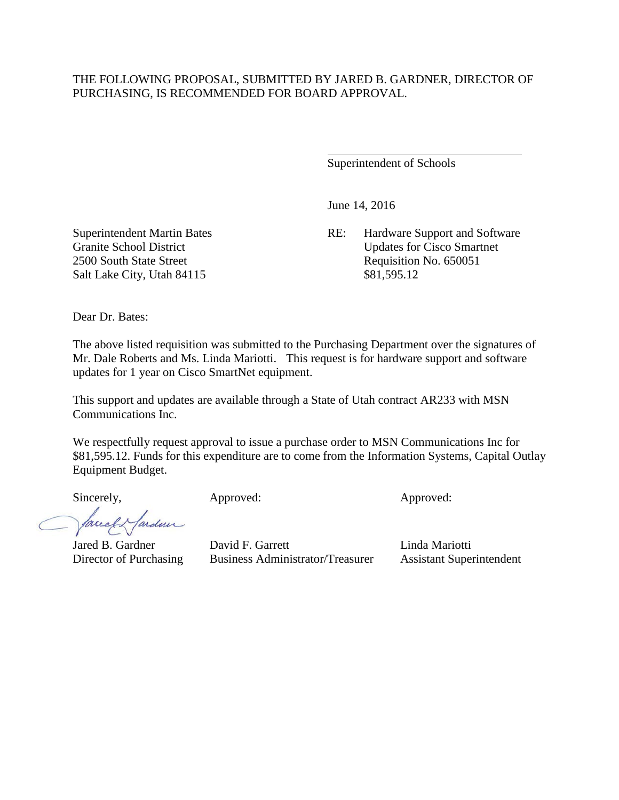$\overline{a}$ 

Superintendent of Schools

June 14, 2016

Superintendent Martin Bates RE: Hardware Support and Software Granite School District Updates for Cisco Smartnet 2500 South State Street<br>
Salt Lake City, Utah 84115<br>
Salt Lake City, Utah 84115

Salt Lake City, Utah 84115

Dear Dr. Bates:

The above listed requisition was submitted to the Purchasing Department over the signatures of Mr. Dale Roberts and Ms. Linda Mariotti. This request is for hardware support and software updates for 1 year on Cisco SmartNet equipment.

This support and updates are available through a State of Utah contract AR233 with MSN Communications Inc.

We respectfully request approval to issue a purchase order to MSN Communications Inc for \$81,595.12. Funds for this expenditure are to come from the Information Systems, Capital Outlay Equipment Budget.

Sincerely, Approved: Approved: Approved:

famely farden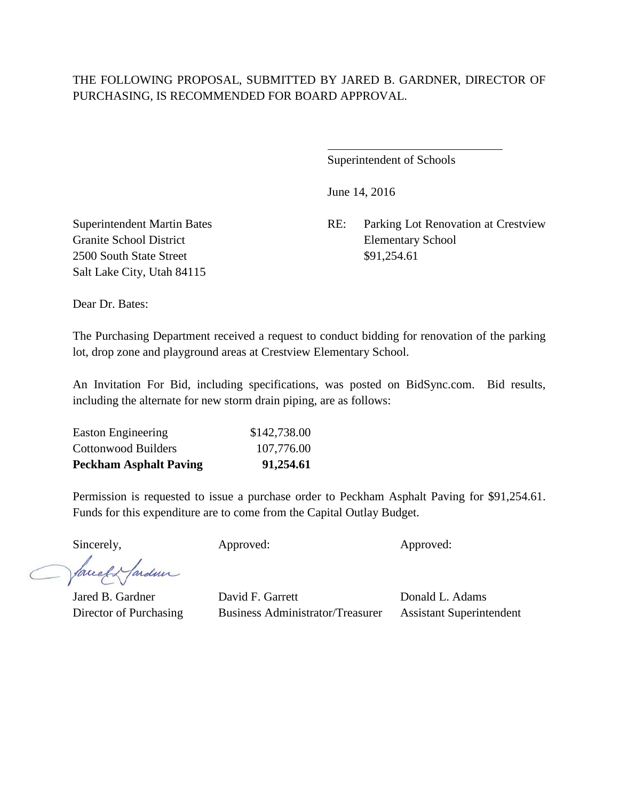$\overline{a}$ 

Superintendent of Schools

June 14, 2016

Superintendent Martin Bates RE: Parking Lot Renovation at Crestview

Granite School District Elementary School 2500 South State Street \$91,254.61 Salt Lake City, Utah 84115

Dear Dr. Bates:

The Purchasing Department received a request to conduct bidding for renovation of the parking lot, drop zone and playground areas at Crestview Elementary School.

An Invitation For Bid, including specifications, was posted on BidSync.com. Bid results, including the alternate for new storm drain piping, are as follows:

| <b>Peckham Asphalt Paving</b> | 91,254.61    |
|-------------------------------|--------------|
| Cottonwood Builders           | 107,776.00   |
| Easton Engineering            | \$142,738.00 |

Permission is requested to issue a purchase order to Peckham Asphalt Paving for \$91,254.61. Funds for this expenditure are to come from the Capital Outlay Budget.

Sincerely, Approved: Approved: Approved: Approved:

facely fardeur